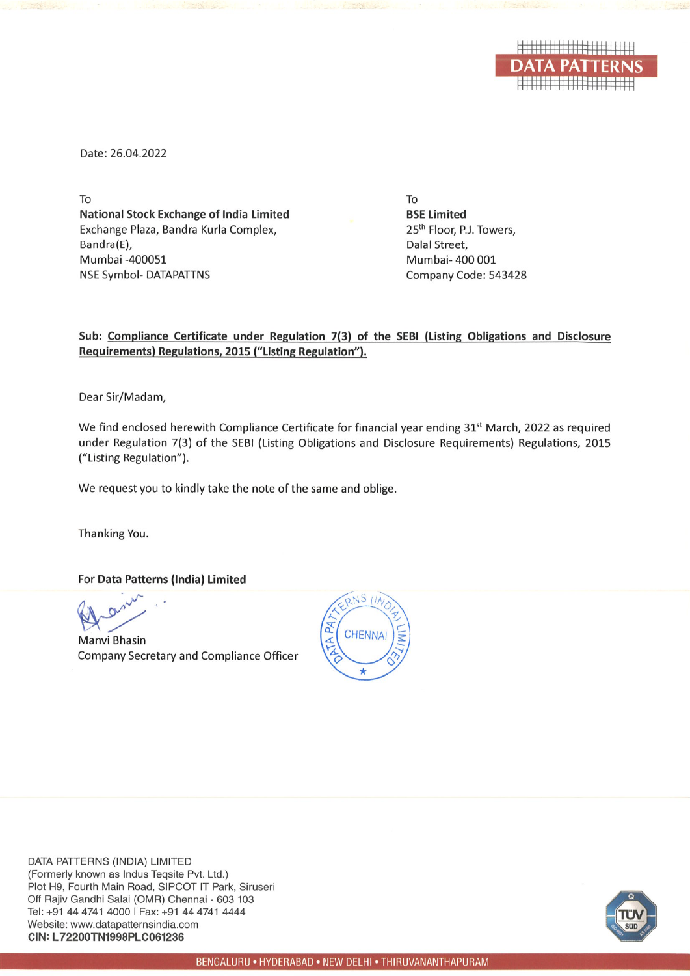

Date: 26.04.2022

To **National Stock Exchange of India Limited** Exchange Plaza, Bandra Kurla Complex, Bandra(E), Mumbai -400051 **NSE Symbol- DATAPATTNS** 

To **BSE Limited** 25<sup>th</sup> Floor, P.J. Towers, Dalal Street, Mumbai- 400 001 Company Code: 543428

## Sub: Compliance Certificate under Regulation 7(3) of the SEBI (Listing Obligations and Disclosure Requirements) Regulations, 2015 ("Listing Regulation").

Dear Sir/Madam,

We find enclosed herewith Compliance Certificate for financial year ending 31<sup>st</sup> March, 2022 as required under Regulation 7(3) of the SEBI (Listing Obligations and Disclosure Requirements) Regulations, 2015 ("Listing Regulation").

We request you to kindly take the note of the same and oblige.

Thanking You.

For Data Patterns (India) Limited

**Manvi Bhasin** Company Secretary and Compliance Officer



DATA PATTERNS (INDIA) LIMITED (Formerly known as Indus Teqsite Pvt. Ltd.) Plot H9, Fourth Main Road, SIPCOT IT Park, Siruseri Off Rajiv Gandhi Salai (OMR) Chennai - 603 103 Tel: +91 44 4741 4000 | Fax: +91 44 4741 4444 Website: www.datapatternsindia.com CIN: L72200TN1998PLC061236